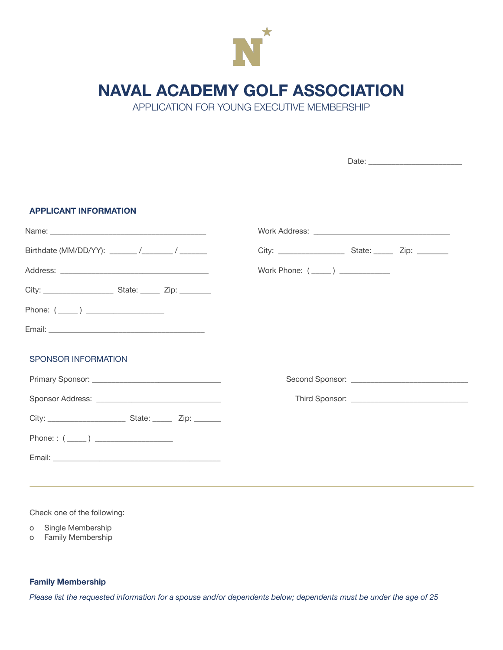

# **NAVAL ACADEMY GOLF ASSOCIATION**

APPLICATION FOR YOUNG EXECUTIVE MEMBERSHIP

| <b>APPLICANT INFORMATION</b> |  |  |  |
|------------------------------|--|--|--|
|                              |  |  |  |
|                              |  |  |  |
|                              |  |  |  |
|                              |  |  |  |
| Phone: $(\_\_)$              |  |  |  |
|                              |  |  |  |
| <b>SPONSOR INFORMATION</b>   |  |  |  |
|                              |  |  |  |
|                              |  |  |  |
|                              |  |  |  |
| Phone: : $(\_\_)$            |  |  |  |
|                              |  |  |  |
|                              |  |  |  |

Check one of the following:

o Single Membership

o Family Membership

## **Family Membership**

Please list the requested information for a spouse and/or dependents below; dependents must be under the age of 25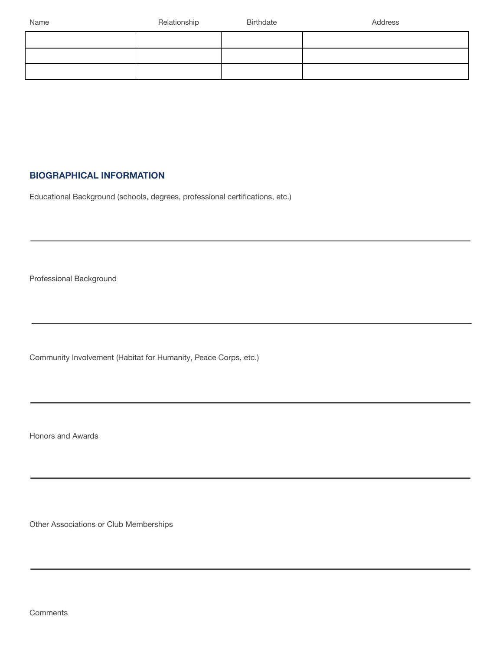## **BIOGRAPHICAL INFORMATION**

Educational Background (schools, degrees, professional certifications, etc.)

Professional Background

Community Involvement (Habitat for Humanity, Peace Corps, etc.)

Honors and Awards

Other Associations or Club Memberships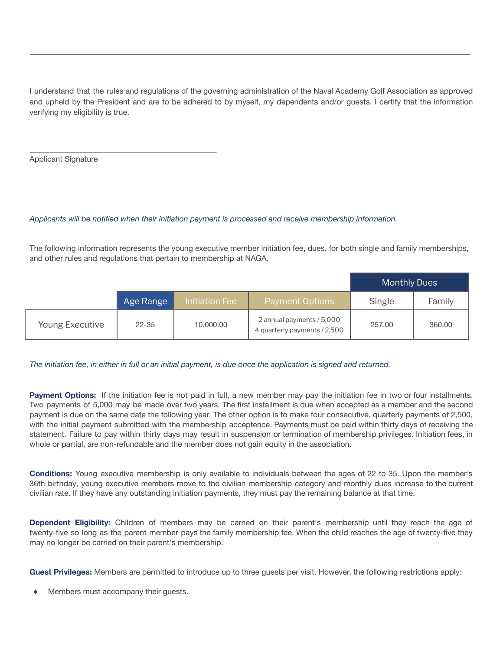I understand that the rules and regulations of the governing administration of the Naval Academy Golf Association as approved and upheld by the President and are to be adhered to by myself, my dependents and/or guests. I certify that the information verifying my eligibility is true.

Applicant Signature

\_\_\_\_\_\_\_\_\_\_\_\_\_\_\_\_\_\_\_\_\_\_\_\_\_\_\_\_\_\_\_\_\_\_\_\_\_\_\_\_\_\_\_\_\_\_\_\_

### *Applicants will be notified when their initiation payment is processed and receive membership information.*

The following information represents the young executive member initiation fee, dues, for both single and family memberships, and other rules and regulations that pertain to membership at NAGA.

|                 |           |                |                                                           | <b>Monthly Dues</b> |        |
|-----------------|-----------|----------------|-----------------------------------------------------------|---------------------|--------|
|                 | Age Range | Initiation Fee | <b>Payment Options</b>                                    | Single              | Family |
| Young Executive | $22 - 35$ | 10,000.00      | 2 annual payments / 5,000<br>4 quarterly payments / 2,500 | 257.00              | 360.00 |

#### The initiation fee, in either in full or an initial payment, is due once the application is signed and returned.

**Payment Options:** If the initiation fee is not paid in full, a new member may pay the initiation fee in two or four installments. Two payments of 5,000 may be made over two years. The first installment is due when accepted as a member and the second payment is due on the same date the following year. The other option is to make four consecutive, quarterly payments of 2,500, with the initial payment submitted with the membership acceptence. Payments must be paid within thirty days of receiving the statement. Failure to pay within thirty days may result in suspension or termination of membership privileges. Initiation fees, in whole or partial, are non-refundable and the member does not gain equity in the association.

**Conditions:** Young executive membership is only available to individuals between the ages of 22 to 35. Upon the member's 36th birthday, young executive members move to the civilian membership category and monthly dues increase to the current civilian rate. If they have any outstanding initiation payments, they must pay the remaining balance at that time.

**Dependent Eligibility:** Children of members may be carried on their parent's membership until they reach the age of twenty-five so long as the parent member pays the family membership fee. When the child reaches the age of twenty-five they may no longer be carried on their parent's membership.

**Guest Privileges:** Members are permitted to introduce up to three guests per visit. However, the following restrictions apply:

Members must accompany their guests.